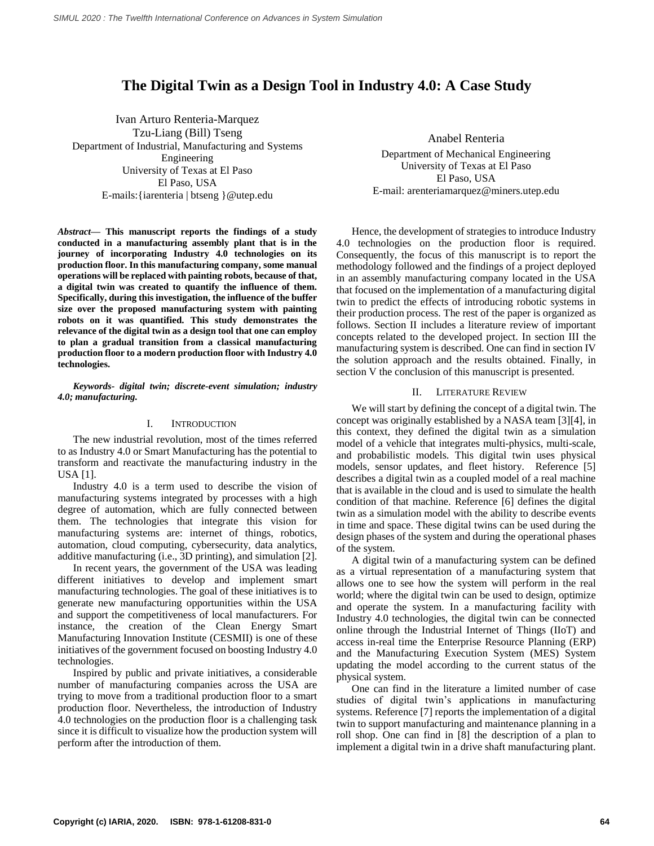# **The Digital Twin as a Design Tool in Industry 4.0: A Case Study**

Ivan Arturo Renteria-Marquez Tzu-Liang (Bill) Tseng Department of Industrial, Manufacturing and Systems Engineering University of Texas at El Paso El Paso, USA E-mails:{iarenteria | btseng }@utep.edu

*Abstract***— This manuscript reports the findings of a study conducted in a manufacturing assembly plant that is in the journey of incorporating Industry 4.0 technologies on its production floor. In this manufacturing company, some manual operations will be replaced with painting robots, because of that, a digital twin was created to quantify the influence of them. Specifically, during this investigation, the influence of the buffer size over the proposed manufacturing system with painting robots on it was quantified. This study demonstrates the relevance of the digital twin as a design tool that one can employ to plan a gradual transition from a classical manufacturing production floor to a modern production floor with Industry 4.0 technologies.**

## *Keywords- digital twin; discrete-event simulation; industry 4.0; manufacturing.*

### I. INTRODUCTION

The new industrial revolution, most of the times referred to as Industry 4.0 or Smart Manufacturing has the potential to transform and reactivate the manufacturing industry in the USA [1].

Industry 4.0 is a term used to describe the vision of manufacturing systems integrated by processes with a high degree of automation, which are fully connected between them. The technologies that integrate this vision for manufacturing systems are: internet of things, robotics, automation, cloud computing, cybersecurity, data analytics, additive manufacturing (i.e., 3D printing), and simulation [2].

In recent years, the government of the USA was leading different initiatives to develop and implement smart manufacturing technologies. The goal of these initiatives is to generate new manufacturing opportunities within the USA and support the competitiveness of local manufacturers. For instance, the creation of the Clean Energy Smart Manufacturing Innovation Institute (CESMII) is one of these initiatives of the government focused on boosting Industry 4.0 technologies.

Inspired by public and private initiatives, a considerable number of manufacturing companies across the USA are trying to move from a traditional production floor to a smart production floor. Nevertheless, the introduction of Industry 4.0 technologies on the production floor is a challenging task since it is difficult to visualize how the production system will perform after the introduction of them.

Anabel Renteria Department of Mechanical Engineering University of Texas at El Paso El Paso, USA E-mail: arenteriamarquez@miners.utep.edu

Hence, the development of strategies to introduce Industry 4.0 technologies on the production floor is required. Consequently, the focus of this manuscript is to report the methodology followed and the findings of a project deployed in an assembly manufacturing company located in the USA that focused on the implementation of a manufacturing digital twin to predict the effects of introducing robotic systems in their production process. The rest of the paper is organized as follows. Section II includes a literature review of important concepts related to the developed project. In section III the manufacturing system is described. One can find in section IV the solution approach and the results obtained. Finally, in section V the conclusion of this manuscript is presented.

#### II. LITERATURE REVIEW

We will start by defining the concept of a digital twin. The concept was originally established by a NASA team [3][4], in this context, they defined the digital twin as a simulation model of a vehicle that integrates multi-physics, multi-scale, and probabilistic models. This digital twin uses physical models, sensor updates, and fleet history. Reference [5] describes a digital twin as a coupled model of a real machine that is available in the cloud and is used to simulate the health condition of that machine. Reference [6] defines the digital twin as a simulation model with the ability to describe events in time and space. These digital twins can be used during the design phases of the system and during the operational phases of the system.

A digital twin of a manufacturing system can be defined as a virtual representation of a manufacturing system that allows one to see how the system will perform in the real world; where the digital twin can be used to design, optimize and operate the system. In a manufacturing facility with Industry 4.0 technologies, the digital twin can be connected online through the Industrial Internet of Things (IIoT) and access in-real time the Enterprise Resource Planning (ERP) and the Manufacturing Execution System (MES) System updating the model according to the current status of the physical system.

One can find in the literature a limited number of case studies of digital twin's applications in manufacturing systems. Reference [7] reports the implementation of a digital twin to support manufacturing and maintenance planning in a roll shop. One can find in [8] the description of a plan to implement a digital twin in a drive shaft manufacturing plant.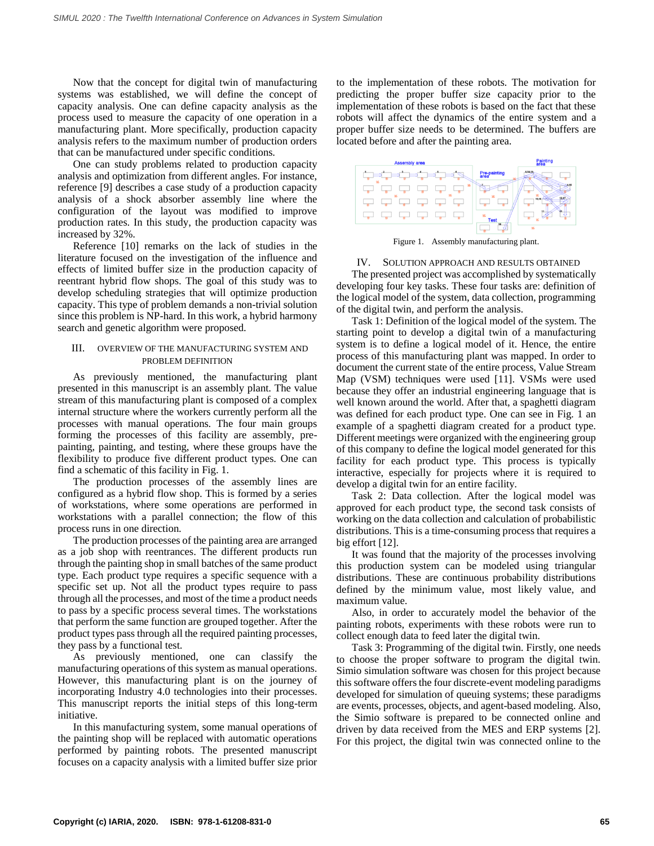Now that the concept for digital twin of manufacturing systems was established, we will define the concept of capacity analysis. One can define capacity analysis as the process used to measure the capacity of one operation in a manufacturing plant. More specifically, production capacity analysis refers to the maximum number of production orders that can be manufactured under specific conditions.

One can study problems related to production capacity analysis and optimization from different angles. For instance, reference [9] describes a case study of a production capacity analysis of a shock absorber assembly line where the configuration of the layout was modified to improve production rates. In this study, the production capacity was increased by 32%.

Reference [10] remarks on the lack of studies in the literature focused on the investigation of the influence and effects of limited buffer size in the production capacity of reentrant hybrid flow shops. The goal of this study was to develop scheduling strategies that will optimize production capacity. This type of problem demands a non-trivial solution since this problem is NP-hard. In this work, a hybrid harmony search and genetic algorithm were proposed.

## III. OVERVIEW OF THE MANUFACTURING SYSTEM AND PROBLEM DEFINITION

As previously mentioned, the manufacturing plant presented in this manuscript is an assembly plant. The value stream of this manufacturing plant is composed of a complex internal structure where the workers currently perform all the processes with manual operations. The four main groups forming the processes of this facility are assembly, prepainting, painting, and testing, where these groups have the flexibility to produce five different product types. One can find a schematic of this facility in Fig. 1.

The production processes of the assembly lines are configured as a hybrid flow shop. This is formed by a series of workstations, where some operations are performed in workstations with a parallel connection; the flow of this process runs in one direction.

The production processes of the painting area are arranged as a job shop with reentrances. The different products run through the painting shop in small batches of the same product type. Each product type requires a specific sequence with a specific set up. Not all the product types require to pass through all the processes, and most of the time a product needs to pass by a specific process several times. The workstations that perform the same function are grouped together. After the product types pass through all the required painting processes, they pass by a functional test.

As previously mentioned, one can classify the manufacturing operations of this system as manual operations. However, this manufacturing plant is on the journey of incorporating Industry 4.0 technologies into their processes. This manuscript reports the initial steps of this long-term initiative.

In this manufacturing system, some manual operations of the painting shop will be replaced with automatic operations performed by painting robots. The presented manuscript focuses on a capacity analysis with a limited buffer size prior

to the implementation of these robots. The motivation for predicting the proper buffer size capacity prior to the implementation of these robots is based on the fact that these robots will affect the dynamics of the entire system and a proper buffer size needs to be determined. The buffers are located before and after the painting area.



Figure 1. Assembly manufacturing plant.

IV. SOLUTION APPROACH AND RESULTS OBTAINED The presented project was accomplished by systematically developing four key tasks. These four tasks are: definition of the logical model of the system, data collection, programming of the digital twin, and perform the analysis.

Task 1: Definition of the logical model of the system. The starting point to develop a digital twin of a manufacturing system is to define a logical model of it. Hence, the entire process of this manufacturing plant was mapped. In order to document the current state of the entire process, Value Stream Map (VSM) techniques were used [11]. VSMs were used because they offer an industrial engineering language that is well known around the world. After that, a spaghetti diagram was defined for each product type. One can see in Fig. 1 an example of a spaghetti diagram created for a product type. Different meetings were organized with the engineering group of this company to define the logical model generated for this facility for each product type. This process is typically interactive, especially for projects where it is required to develop a digital twin for an entire facility.

Task 2: Data collection. After the logical model was approved for each product type, the second task consists of working on the data collection and calculation of probabilistic distributions. This is a time-consuming process that requires a big effort [12].

It was found that the majority of the processes involving this production system can be modeled using triangular distributions. These are continuous probability distributions defined by the minimum value, most likely value, and maximum value.

Also, in order to accurately model the behavior of the painting robots, experiments with these robots were run to collect enough data to feed later the digital twin.

Task 3: Programming of the digital twin. Firstly, one needs to choose the proper software to program the digital twin. Simio simulation software was chosen for this project because this software offers the four discrete-event modeling paradigms developed for simulation of queuing systems; these paradigms are events, processes, objects, and agent-based modeling. Also, the Simio software is prepared to be connected online and driven by data received from the MES and ERP systems [2]. For this project, the digital twin was connected online to the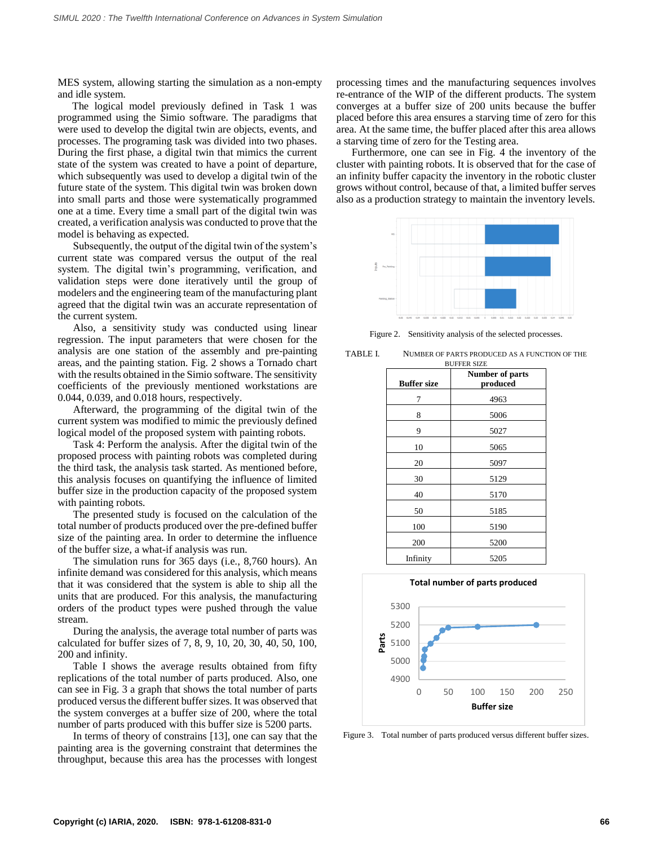MES system, allowing starting the simulation as a non-empty and idle system.

The logical model previously defined in Task 1 was programmed using the Simio software. The paradigms that were used to develop the digital twin are objects, events, and processes. The programing task was divided into two phases. During the first phase, a digital twin that mimics the current state of the system was created to have a point of departure, which subsequently was used to develop a digital twin of the future state of the system. This digital twin was broken down into small parts and those were systematically programmed one at a time. Every time a small part of the digital twin was created, a verification analysis was conducted to prove that the model is behaving as expected.

Subsequently, the output of the digital twin of the system's current state was compared versus the output of the real system. The digital twin's programming, verification, and validation steps were done iteratively until the group of modelers and the engineering team of the manufacturing plant agreed that the digital twin was an accurate representation of the current system.

Also, a sensitivity study was conducted using linear regression. The input parameters that were chosen for the analysis are one station of the assembly and pre-painting areas, and the painting station. Fig. 2 shows a Tornado chart with the results obtained in the Simio software. The sensitivity coefficients of the previously mentioned workstations are 0.044, 0.039, and 0.018 hours, respectively.

Afterward, the programming of the digital twin of the current system was modified to mimic the previously defined logical model of the proposed system with painting robots.

Task 4: Perform the analysis. After the digital twin of the proposed process with painting robots was completed during the third task, the analysis task started. As mentioned before, this analysis focuses on quantifying the influence of limited buffer size in the production capacity of the proposed system with painting robots.

The presented study is focused on the calculation of the total number of products produced over the pre-defined buffer size of the painting area. In order to determine the influence of the buffer size, a what-if analysis was run.

The simulation runs for 365 days (i.e., 8,760 hours). An infinite demand was considered for this analysis, which means that it was considered that the system is able to ship all the units that are produced. For this analysis, the manufacturing orders of the product types were pushed through the value stream.

During the analysis, the average total number of parts was calculated for buffer sizes of 7, 8, 9, 10, 20, 30, 40, 50, 100, 200 and infinity.

Table I shows the average results obtained from fifty replications of the total number of parts produced. Also, one can see in Fig. 3 a graph that shows the total number of parts produced versus the different buffer sizes. It was observed that the system converges at a buffer size of 200, where the total number of parts produced with this buffer size is 5200 parts.

In terms of theory of constrains [13], one can say that the painting area is the governing constraint that determines the throughput, because this area has the processes with longest processing times and the manufacturing sequences involves re-entrance of the WIP of the different products. The system converges at a buffer size of 200 units because the buffer placed before this area ensures a starving time of zero for this area. At the same time, the buffer placed after this area allows a starving time of zero for the Testing area.

Furthermore, one can see in Fig. 4 the inventory of the cluster with painting robots. It is observed that for the case of an infinity buffer capacity the inventory in the robotic cluster grows without control, because of that, a limited buffer serves also as a production strategy to maintain the inventory levels.



Figure 2. Sensitivity analysis of the selected processes.

TABLE I. NUMBER OF PARTS PRODUCED AS A FUNCTION OF THE

| <b>Buffer size</b> | Number of parts<br>produced |
|--------------------|-----------------------------|
|                    |                             |
| 7                  | 4963                        |
| 8                  | 5006                        |
| 9                  | 5027                        |
| 10                 | 5065                        |
| 20                 | 5097                        |
| 30                 | 5129                        |
| 40                 | 5170                        |
| 50                 | 5185                        |
| 100                | 5190                        |
| 200                | 5200                        |
| Infinity           | 5205                        |



Figure 3. Total number of parts produced versus different buffer sizes.